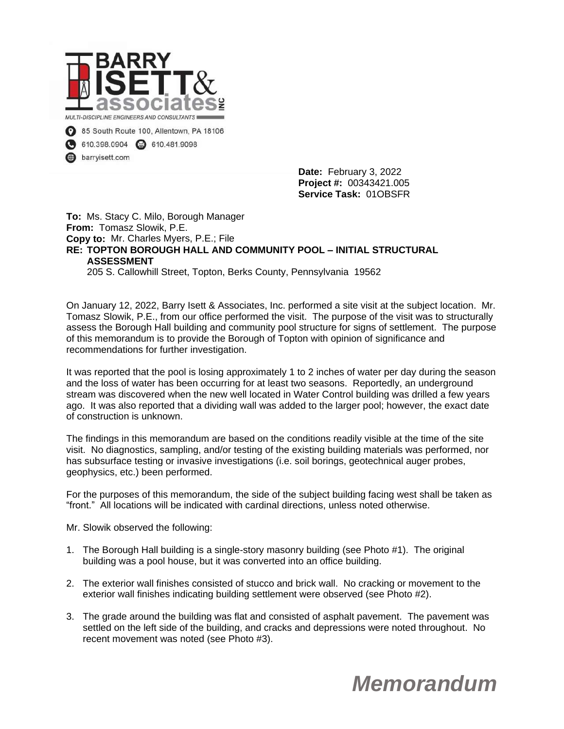

610.398.0904 2 610.481.9098

barryisett.com

**Date:** February 3, 2022 **Project #:** 00343421.005 **Service Task:** 01OBSFR

**To:** Ms. Stacy C. Milo, Borough Manager **From:** Tomasz Slowik, P.E. **Copy to:** Mr. Charles Myers, P.E.; File **RE: TOPTON BOROUGH HALL AND COMMUNITY POOL – INITIAL STRUCTURAL ASSESSMENT** 205 S. Callowhill Street, Topton, Berks County, Pennsylvania 19562

On January 12, 2022, Barry Isett & Associates, Inc. performed a site visit at the subject location. Mr. Tomasz Slowik, P.E., from our office performed the visit. The purpose of the visit was to structurally assess the Borough Hall building and community pool structure for signs of settlement. The purpose of this memorandum is to provide the Borough of Topton with opinion of significance and recommendations for further investigation.

It was reported that the pool is losing approximately 1 to 2 inches of water per day during the season and the loss of water has been occurring for at least two seasons. Reportedly, an underground stream was discovered when the new well located in Water Control building was drilled a few years ago. It was also reported that a dividing wall was added to the larger pool; however, the exact date of construction is unknown.

The findings in this memorandum are based on the conditions readily visible at the time of the site visit. No diagnostics, sampling, and/or testing of the existing building materials was performed, nor has subsurface testing or invasive investigations (i.e. soil borings, geotechnical auger probes, geophysics, etc.) been performed.

For the purposes of this memorandum, the side of the subject building facing west shall be taken as "front." All locations will be indicated with cardinal directions, unless noted otherwise.

Mr. Slowik observed the following:

- 1. The Borough Hall building is a single-story masonry building (see Photo #1). The original building was a pool house, but it was converted into an office building.
- 2. The exterior wall finishes consisted of stucco and brick wall. No cracking or movement to the exterior wall finishes indicating building settlement were observed (see Photo #2).
- 3. The grade around the building was flat and consisted of asphalt pavement. The pavement was settled on the left side of the building, and cracks and depressions were noted throughout. No recent movement was noted (see Photo #3).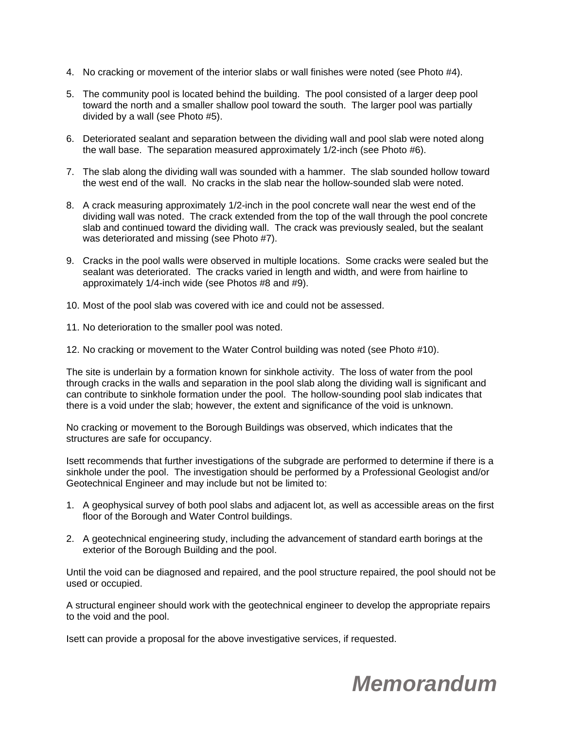- 4. No cracking or movement of the interior slabs or wall finishes were noted (see Photo #4).
- 5. The community pool is located behind the building. The pool consisted of a larger deep pool toward the north and a smaller shallow pool toward the south. The larger pool was partially divided by a wall (see Photo #5).
- 6. Deteriorated sealant and separation between the dividing wall and pool slab were noted along the wall base. The separation measured approximately 1/2-inch (see Photo #6).
- 7. The slab along the dividing wall was sounded with a hammer. The slab sounded hollow toward the west end of the wall. No cracks in the slab near the hollow-sounded slab were noted.
- 8. A crack measuring approximately 1/2-inch in the pool concrete wall near the west end of the dividing wall was noted. The crack extended from the top of the wall through the pool concrete slab and continued toward the dividing wall. The crack was previously sealed, but the sealant was deteriorated and missing (see Photo #7).
- 9. Cracks in the pool walls were observed in multiple locations. Some cracks were sealed but the sealant was deteriorated. The cracks varied in length and width, and were from hairline to approximately 1/4-inch wide (see Photos #8 and #9).
- 10. Most of the pool slab was covered with ice and could not be assessed.
- 11. No deterioration to the smaller pool was noted.
- 12. No cracking or movement to the Water Control building was noted (see Photo #10).

The site is underlain by a formation known for sinkhole activity. The loss of water from the pool through cracks in the walls and separation in the pool slab along the dividing wall is significant and can contribute to sinkhole formation under the pool. The hollow-sounding pool slab indicates that there is a void under the slab; however, the extent and significance of the void is unknown.

No cracking or movement to the Borough Buildings was observed, which indicates that the structures are safe for occupancy.

Isett recommends that further investigations of the subgrade are performed to determine if there is a sinkhole under the pool. The investigation should be performed by a Professional Geologist and/or Geotechnical Engineer and may include but not be limited to:

- 1. A geophysical survey of both pool slabs and adjacent lot, as well as accessible areas on the first floor of the Borough and Water Control buildings.
- 2. A geotechnical engineering study, including the advancement of standard earth borings at the exterior of the Borough Building and the pool.

Until the void can be diagnosed and repaired, and the pool structure repaired, the pool should not be used or occupied.

A structural engineer should work with the geotechnical engineer to develop the appropriate repairs to the void and the pool.

Isett can provide a proposal for the above investigative services, if requested.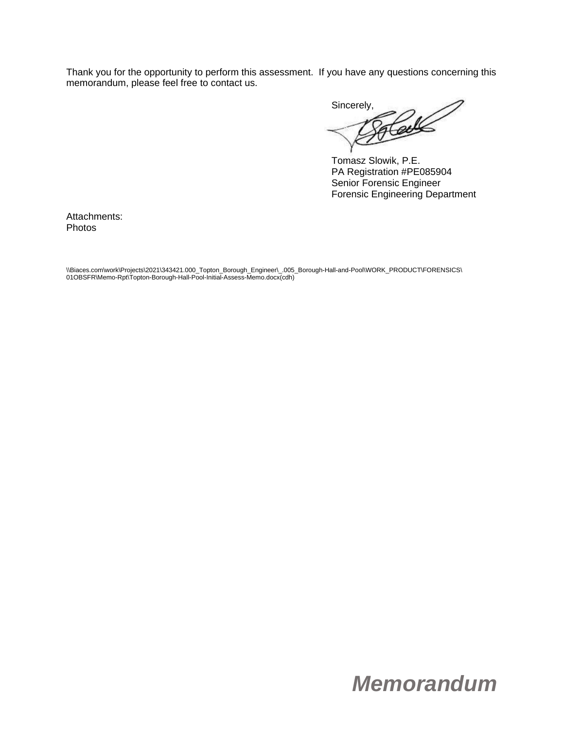Thank you for the opportunity to perform this assessment. If you have any questions concerning this memorandum, please feel free to contact us.

Sincerely,

Tomasz Slowik, P.E. PA Registration #PE085904 Senior Forensic Engineer Forensic Engineering Department

Attachments: Photos

\\Biaces.com\work\Projects\2021\343421.000\_Topton\_Borough\_Engineer\\_.005\_Borough-Hall-and-Pool\WORK\_PRODUCT\FORENSICS\ 01OBSFR\Memo-Rpt\Topton-Borough-Hall-Pool-Initial-Assess-Memo.docx(cdh)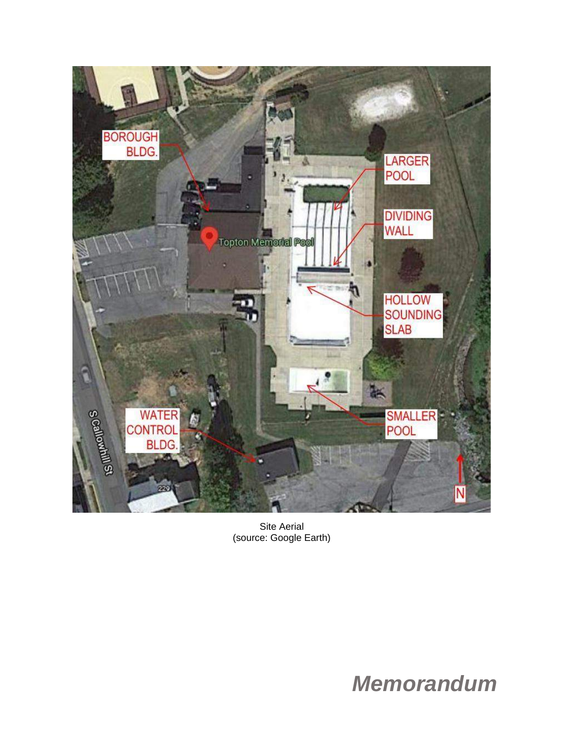

Site Aerial (source: Google Earth)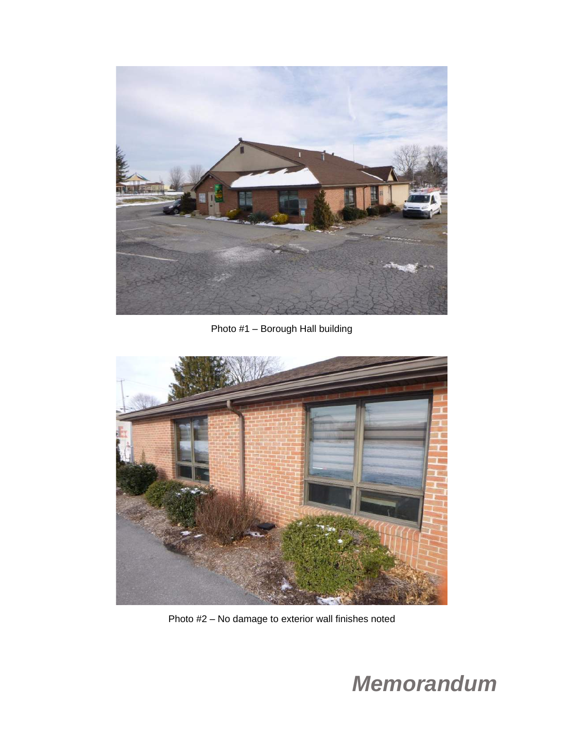

Photo #1 – Borough Hall building



Photo #2 – No damage to exterior wall finishes noted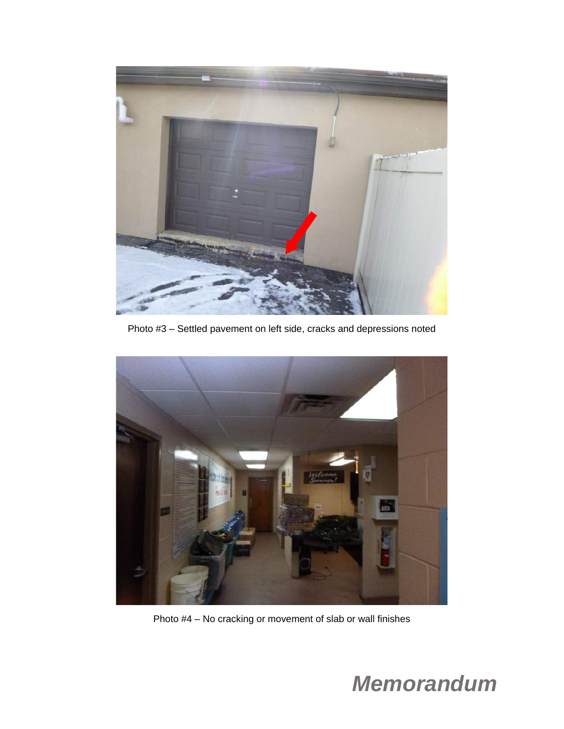

Photo #3 – Settled pavement on left side, cracks and depressions noted



Photo #4 – No cracking or movement of slab or wall finishes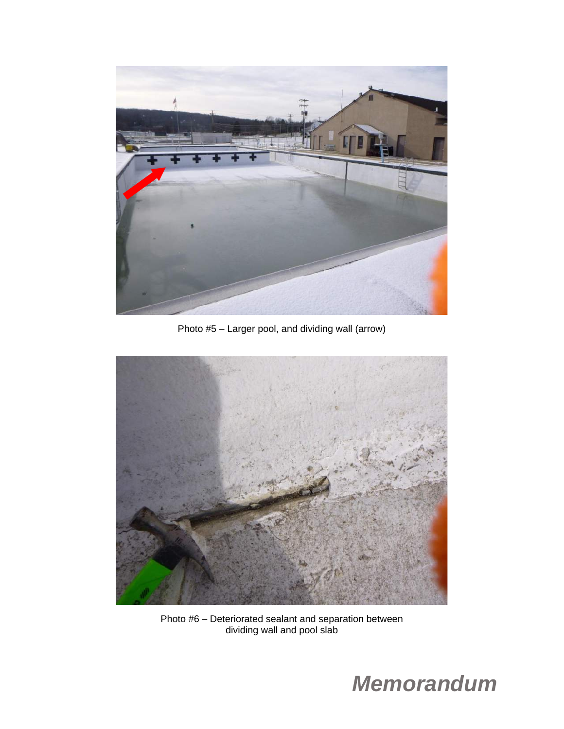

Photo #5 – Larger pool, and dividing wall (arrow)



Photo #6 – Deteriorated sealant and separation between dividing wall and pool slab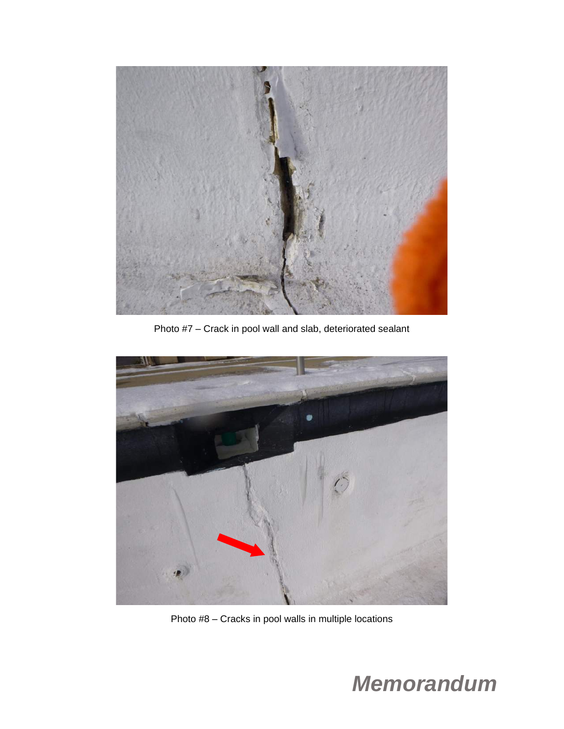

Photo #7 – Crack in pool wall and slab, deteriorated sealant



Photo #8 – Cracks in pool walls in multiple locations